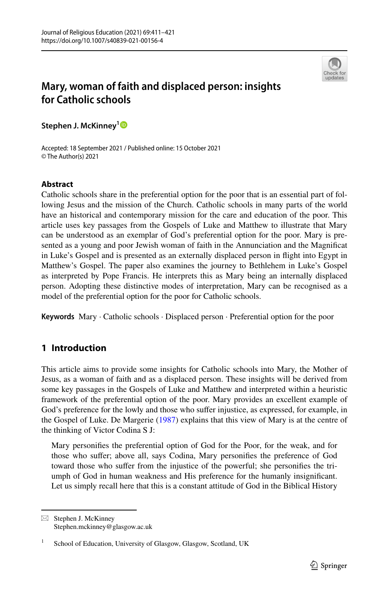

# **Mary, woman of faith and displaced person: insights for Catholic schools**

**Stephen J. McKinney[1](http://orcid.org/0000-0002-8249-6067)**

Accepted: 18 September 2021 / Published online: 15 October 2021 © The Author(s) 2021

# **Abstract**

Catholic schools share in the preferential option for the poor that is an essential part of following Jesus and the mission of the Church. Catholic schools in many parts of the world have an historical and contemporary mission for the care and education of the poor. This article uses key passages from the Gospels of Luke and Matthew to illustrate that Mary can be understood as an exemplar of God's preferential option for the poor. Mary is presented as a young and poor Jewish woman of faith in the Annunciation and the Magnifcat in Luke's Gospel and is presented as an externally displaced person in fight into Egypt in Matthew's Gospel. The paper also examines the journey to Bethlehem in Luke's Gospel as interpreted by Pope Francis. He interprets this as Mary being an internally displaced person. Adopting these distinctive modes of interpretation, Mary can be recognised as a model of the preferential option for the poor for Catholic schools.

**Keywords** Mary · Catholic schools · Displaced person · Preferential option for the poor

# **1 Introduction**

This article aims to provide some insights for Catholic schools into Mary, the Mother of Jesus, as a woman of faith and as a displaced person. These insights will be derived from some key passages in the Gospels of Luke and Matthew and interpreted within a heuristic framework of the preferential option of the poor. Mary provides an excellent example of God's preference for the lowly and those who suffer injustice, as expressed, for example, in the Gospel of Luke. De Margerie [\(1987](#page-9-0)) explains that this view of Mary is at the centre of the thinking of Victor Codina S J:

Mary personifes the preferential option of God for the Poor, for the weak, and for those who sufer; above all, says Codina, Mary personifes the preference of God toward those who sufer from the injustice of the powerful; she personifes the triumph of God in human weakness and His preference for the humanly insignifcant. Let us simply recall here that this is a constant attitude of God in the Biblical History

 $\boxtimes$  Stephen J. McKinney Stephen.mckinney@glasgow.ac.uk

<sup>&</sup>lt;sup>1</sup> School of Education, University of Glasgow, Glasgow, Scotland, UK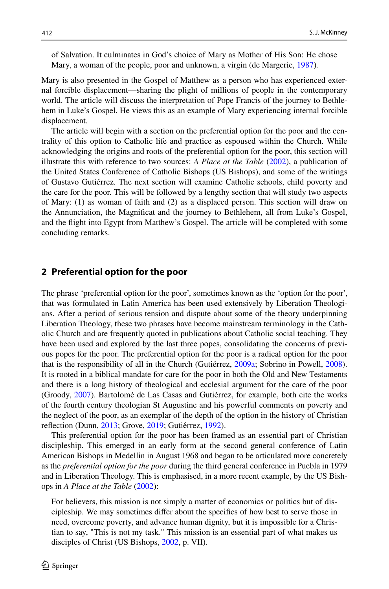of Salvation. It culminates in God's choice of Mary as Mother of His Son: He chose Mary, a woman of the people, poor and unknown, a virgin (de Margerie, [1987](#page-9-0))*.*

Mary is also presented in the Gospel of Matthew as a person who has experienced external forcible displacement—sharing the plight of millions of people in the contemporary world. The article will discuss the interpretation of Pope Francis of the journey to Bethlehem in Luke's Gospel. He views this as an example of Mary experiencing internal forcible displacement.

The article will begin with a section on the preferential option for the poor and the centrality of this option to Catholic life and practice as espoused within the Church. While acknowledging the origins and roots of the preferential option for the poor, this section will illustrate this with reference to two sources: *A Place at the Table* [\(2002](#page-10-0)), a publication of the United States Conference of Catholic Bishops (US Bishops), and some of the writings of Gustavo Gutiérrez. The next section will examine Catholic schools, child poverty and the care for the poor. This will be followed by a lengthy section that will study two aspects of Mary: (1) as woman of faith and (2) as a displaced person. This section will draw on the Annunciation, the Magnifcat and the journey to Bethlehem, all from Luke's Gospel, and the fight into Egypt from Matthew's Gospel. The article will be completed with some concluding remarks.

## **2 Preferential option for the poor**

The phrase 'preferential option for the poor', sometimes known as the 'option for the poor', that was formulated in Latin America has been used extensively by Liberation Theologians. After a period of serious tension and dispute about some of the theory underpinning Liberation Theology, these two phrases have become mainstream terminology in the Catholic Church and are frequently quoted in publications about Catholic social teaching. They have been used and explored by the last three popes, consolidating the concerns of previous popes for the poor. The preferential option for the poor is a radical option for the poor that is the responsibility of all in the Church (Gutiérrez, [2009a](#page-9-1); Sobrino in Powell, [2008](#page-10-1)). It is rooted in a biblical mandate for care for the poor in both the Old and New Testaments and there is a long history of theological and ecclesial argument for the care of the poor (Groody, [2007\)](#page-9-2). Bartolomé de Las Casas and Gutiérrez, for example, both cite the works of the fourth century theologian St Augustine and his powerful comments on poverty and the neglect of the poor, as an exemplar of the depth of the option in the history of Christian refection (Dunn, [2013](#page-9-3); Grove, [2019](#page-9-4); Gutiérrez, [1992\)](#page-9-5).

This preferential option for the poor has been framed as an essential part of Christian discipleship. This emerged in an early form at the second general conference of Latin American Bishops in Medellin in August 1968 and began to be articulated more concretely as the *preferential option for the poor* during the third general conference in Puebla in 1979 and in Liberation Theology. This is emphasised, in a more recent example, by the US Bishops in *A Place at the Table* ([2002\)](#page-10-0):

For believers, this mission is not simply a matter of economics or politics but of discipleship. We may sometimes difer about the specifcs of how best to serve those in need, overcome poverty, and advance human dignity, but it is impossible for a Christian to say, "This is not my task." This mission is an essential part of what makes us disciples of Christ (US Bishops, [2002,](#page-10-0) p. VII).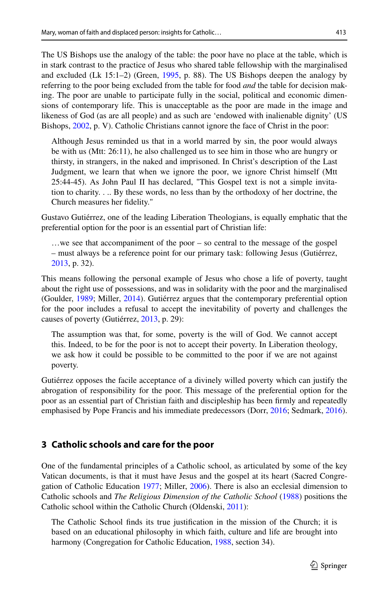The US Bishops use the analogy of the table: the poor have no place at the table, which is in stark contrast to the practice of Jesus who shared table fellowship with the marginalised and excluded (Lk 15:1–2) (Green, [1995](#page-9-6), p. 88). The US Bishops deepen the analogy by referring to the poor being excluded from the table for food *and* the table for decision making. The poor are unable to participate fully in the social, political and economic dimensions of contemporary life. This is unacceptable as the poor are made in the image and likeness of God (as are all people) and as such are 'endowed with inalienable dignity' (US Bishops, [2002](#page-10-0), p. V). Catholic Christians cannot ignore the face of Christ in the poor:

Although Jesus reminded us that in a world marred by sin, the poor would always be with us (Mtt: 26:11), he also challenged us to see him in those who are hungry or thirsty, in strangers, in the naked and imprisoned. In Christ's description of the Last Judgment, we learn that when we ignore the poor, we ignore Christ himself (Mtt 25:44-45). As John Paul II has declared, "This Gospel text is not a simple invitation to charity. . .. By these words, no less than by the orthodoxy of her doctrine, the Church measures her fdelity."

Gustavo Gutiérrez, one of the leading Liberation Theologians, is equally emphatic that the preferential option for the poor is an essential part of Christian life:

…we see that accompaniment of the poor – so central to the message of the gospel – must always be a reference point for our primary task: following Jesus (Gutiérrez, [2013](#page-9-7), p. 32).

This means following the personal example of Jesus who chose a life of poverty, taught about the right use of possessions, and was in solidarity with the poor and the marginalised (Goulder, [1989](#page-9-8); Miller, [2014\)](#page-10-2). Gutiérrez argues that the contemporary preferential option for the poor includes a refusal to accept the inevitability of poverty and challenges the causes of poverty (Gutiérrez, [2013](#page-9-7), p. 29):

The assumption was that, for some, poverty is the will of God. We cannot accept this. Indeed, to be for the poor is not to accept their poverty. In Liberation theology, we ask how it could be possible to be committed to the poor if we are not against poverty.

Gutiérrez opposes the facile acceptance of a divinely willed poverty which can justify the abrogation of responsibility for the poor. This message of the preferential option for the poor as an essential part of Christian faith and discipleship has been frmly and repeatedly emphasised by Pope Francis and his immediate predecessors (Dorr, [2016](#page-9-9); Sedmark, [2016\)](#page-10-3).

## **3 Catholic schools and care for the poor**

One of the fundamental principles of a Catholic school, as articulated by some of the key Vatican documents, is that it must have Jesus and the gospel at its heart (Sacred Congregation of Catholic Education [1977](#page-10-4); Miller, [2006\)](#page-10-5). There is also an ecclesial dimension to Catholic schools and *The Religious Dimension of the Catholic School* [\(1988](#page-9-10)) positions the Catholic school within the Catholic Church (Oldenski, [2011](#page-10-6)):

The Catholic School fnds its true justifcation in the mission of the Church; it is based on an educational philosophy in which faith, culture and life are brought into harmony (Congregation for Catholic Education, [1988,](#page-9-10) section 34).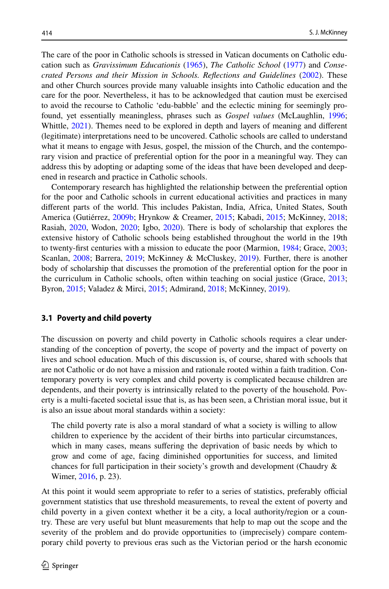The care of the poor in Catholic schools is stressed in Vatican documents on Catholic education such as *Gravissimum Educationis* [\(1965](#page-10-7)), *The Catholic School* [\(1977](#page-10-4)) and *Consecrated Persons and their Mission in Schools. Refections and Guidelines* [\(2002](#page-9-11)). These and other Church sources provide many valuable insights into Catholic education and the care for the poor. Nevertheless, it has to be acknowledged that caution must be exercised to avoid the recourse to Catholic 'edu-babble' and the eclectic mining for seemingly profound, yet essentially meaningless, phrases such as *Gospel values* (McLaughlin, [1996;](#page-10-8) Whittle, [2021\)](#page-10-9). Themes need to be explored in depth and layers of meaning and diferent (legitimate) interpretations need to be uncovered. Catholic schools are called to understand what it means to engage with Jesus, gospel, the mission of the Church, and the contemporary vision and practice of preferential option for the poor in a meaningful way. They can address this by adopting or adapting some of the ideas that have been developed and deepened in research and practice in Catholic schools.

Contemporary research has highlighted the relationship between the preferential option for the poor and Catholic schools in current educational activities and practices in many diferent parts of the world. This includes Pakistan, India, Africa, United States, South America (Gutiérrez, [2009b](#page-9-12); Hrynkow & Creamer, [2015;](#page-9-13) Kabadi, [2015](#page-9-14); McKinney, [2018;](#page-10-10) Rasiah, [2020](#page-10-11), Wodon, [2020](#page-10-12); Igbo, [2020](#page-9-15)). There is body of scholarship that explores the extensive history of Catholic schools being established throughout the world in the 19th to twenty-frst centuries with a mission to educate the poor (Marmion, [1984;](#page-10-13) Grace, [2003;](#page-9-16) Scanlan, [2008;](#page-10-14) Barrera, [2019](#page-8-0); McKinney & McCluskey, [2019](#page-10-15)). Further, there is another body of scholarship that discusses the promotion of the preferential option for the poor in the curriculum in Catholic schools, often within teaching on social justice (Grace, [2013;](#page-9-17) Byron, [2015](#page-9-18); Valadez & Mirci, [2015;](#page-10-16) Admirand, [2018;](#page-8-1) McKinney, [2019](#page-10-17)).

#### **3.1 Poverty and child poverty**

The discussion on poverty and child poverty in Catholic schools requires a clear understanding of the conception of poverty, the scope of poverty and the impact of poverty on lives and school education. Much of this discussion is, of course, shared with schools that are not Catholic or do not have a mission and rationale rooted within a faith tradition. Contemporary poverty is very complex and child poverty is complicated because children are dependents, and their poverty is intrinsically related to the poverty of the household. Poverty is a multi-faceted societal issue that is, as has been seen, a Christian moral issue, but it is also an issue about moral standards within a society:

The child poverty rate is also a moral standard of what a society is willing to allow children to experience by the accident of their births into particular circumstances, which in many cases, means suffering the deprivation of basic needs by which to grow and come of age, facing diminished opportunities for success, and limited chances for full participation in their society's growth and development (Chaudry & Wimer, [2016,](#page-9-19) p. 23).

At this point it would seem appropriate to refer to a series of statistics, preferably official government statistics that use threshold measurements, to reveal the extent of poverty and child poverty in a given context whether it be a city, a local authority/region or a country. These are very useful but blunt measurements that help to map out the scope and the severity of the problem and do provide opportunities to (imprecisely) compare contemporary child poverty to previous eras such as the Victorian period or the harsh economic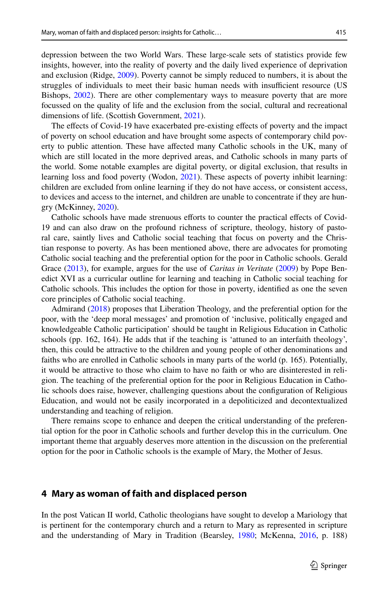depression between the two World Wars. These large-scale sets of statistics provide few insights, however, into the reality of poverty and the daily lived experience of deprivation and exclusion (Ridge, [2009\)](#page-10-18). Poverty cannot be simply reduced to numbers, it is about the struggles of individuals to meet their basic human needs with insufficient resource (US Bishops, [2002](#page-10-0)). There are other complementary ways to measure poverty that are more focussed on the quality of life and the exclusion from the social, cultural and recreational dimensions of life. (Scottish Government, [2021\)](#page-10-19).

The efects of Covid-19 have exacerbated pre-existing efects of poverty and the impact of poverty on school education and have brought some aspects of contemporary child poverty to public attention. These have afected many Catholic schools in the UK, many of which are still located in the more deprived areas, and Catholic schools in many parts of the world. Some notable examples are digital poverty, or digital exclusion, that results in learning loss and food poverty (Wodon, [2021\)](#page-10-20). These aspects of poverty inhibit learning: children are excluded from online learning if they do not have access, or consistent access, to devices and access to the internet, and children are unable to concentrate if they are hungry (McKinney, [2020\)](#page-10-21).

Catholic schools have made strenuous efforts to counter the practical effects of Covid-19 and can also draw on the profound richness of scripture, theology, history of pastoral care, saintly lives and Catholic social teaching that focus on poverty and the Christian response to poverty. As has been mentioned above, there are advocates for promoting Catholic social teaching and the preferential option for the poor in Catholic schools. Gerald Grace ([2013\)](#page-9-17), for example, argues for the use of *Caritas in Veritate* ([2009\)](#page-10-22) by Pope Benedict XVI as a curricular outline for learning and teaching in Catholic social teaching for Catholic schools. This includes the option for those in poverty, identifed as one the seven core principles of Catholic social teaching.

Admirand [\(2018](#page-8-1)) proposes that Liberation Theology, and the preferential option for the poor, with the 'deep moral messages' and promotion of 'inclusive, politically engaged and knowledgeable Catholic participation' should be taught in Religious Education in Catholic schools (pp. 162, 164). He adds that if the teaching is 'attuned to an interfaith theology', then, this could be attractive to the children and young people of other denominations and faiths who are enrolled in Catholic schools in many parts of the world (p. 165). Potentially, it would be attractive to those who claim to have no faith or who are disinterested in religion. The teaching of the preferential option for the poor in Religious Education in Catholic schools does raise, however, challenging questions about the confguration of Religious Education, and would not be easily incorporated in a depoliticized and decontextualized understanding and teaching of religion.

There remains scope to enhance and deepen the critical understanding of the preferential option for the poor in Catholic schools and further develop this in the curriculum. One important theme that arguably deserves more attention in the discussion on the preferential option for the poor in Catholic schools is the example of Mary, the Mother of Jesus.

### **4 Mary as woman of faith and displaced person**

In the post Vatican II world, Catholic theologians have sought to develop a Mariology that is pertinent for the contemporary church and a return to Mary as represented in scripture and the understanding of Mary in Tradition (Bearsley, [1980;](#page-9-20) McKenna, [2016](#page-10-23), p. 188)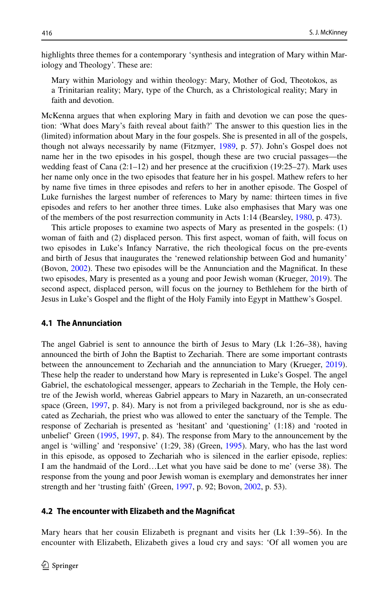highlights three themes for a contemporary 'synthesis and integration of Mary within Mariology and Theology'. These are:

Mary within Mariology and within theology: Mary, Mother of God, Theotokos, as a Trinitarian reality; Mary, type of the Church, as a Christological reality; Mary in faith and devotion.

McKenna argues that when exploring Mary in faith and devotion we can pose the question: 'What does Mary's faith reveal about faith?' The answer to this question lies in the (limited) information about Mary in the four gospels. She is presented in all of the gospels, though not always necessarily by name (Fitzmyer, [1989](#page-9-21), p. 57). John's Gospel does not name her in the two episodes in his gospel, though these are two crucial passages—the wedding feast of Cana (2:1–12) and her presence at the crucifixion (19:25–27). Mark uses her name only once in the two episodes that feature her in his gospel. Mathew refers to her by name fve times in three episodes and refers to her in another episode. The Gospel of Luke furnishes the largest number of references to Mary by name: thirteen times in fve episodes and refers to her another three times. Luke also emphasises that Mary was one of the members of the post resurrection community in Acts 1:14 (Bearsley, [1980,](#page-9-20) p. 473).

This article proposes to examine two aspects of Mary as presented in the gospels: (1) woman of faith and (2) displaced person. This frst aspect, woman of faith, will focus on two episodes in Luke's Infancy Narrative, the rich theological focus on the pre-events and birth of Jesus that inaugurates the 'renewed relationship between God and humanity' (Bovon, [2002](#page-9-22)). These two episodes will be the Annunciation and the Magnifcat. In these two episodes, Mary is presented as a young and poor Jewish woman (Krueger, [2019\)](#page-9-23). The second aspect, displaced person, will focus on the journey to Bethlehem for the birth of Jesus in Luke's Gospel and the fight of the Holy Family into Egypt in Matthew's Gospel.

#### **4.1 The Annunciation**

The angel Gabriel is sent to announce the birth of Jesus to Mary (Lk 1:26–38), having announced the birth of John the Baptist to Zechariah. There are some important contrasts between the announcement to Zechariah and the annunciation to Mary (Krueger, [2019](#page-9-23)). These help the reader to understand how Mary is represented in Luke's Gospel. The angel Gabriel, the eschatological messenger, appears to Zechariah in the Temple, the Holy centre of the Jewish world, whereas Gabriel appears to Mary in Nazareth, an un-consecrated space (Green, [1997,](#page-9-24) p. 84). Mary is not from a privileged background, nor is she as educated as Zechariah, the priest who was allowed to enter the sanctuary of the Temple. The response of Zechariah is presented as 'hesitant' and 'questioning' (1:18) and 'rooted in unbelief' Green ([1995,](#page-9-6) [1997,](#page-9-24) p. 84). The response from Mary to the announcement by the angel is 'willing' and 'responsive' (1:29, 38) (Green, [1995\)](#page-9-6). Mary, who has the last word in this episode, as opposed to Zechariah who is silenced in the earlier episode, replies: I am the handmaid of the Lord…Let what you have said be done to me' (verse 38). The response from the young and poor Jewish woman is exemplary and demonstrates her inner strength and her 'trusting faith' (Green, [1997,](#page-9-24) p. 92; Bovon, [2002,](#page-9-22) p. 53).

#### **4.2 The encounter with Elizabeth and the Magnifcat**

Mary hears that her cousin Elizabeth is pregnant and visits her (Lk 1:39–56). In the encounter with Elizabeth, Elizabeth gives a loud cry and says: 'Of all women you are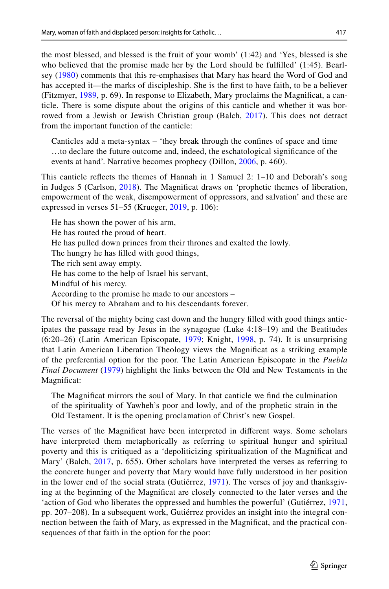the most blessed, and blessed is the fruit of your womb' (1:42) and 'Yes, blessed is she who believed that the promise made her by the Lord should be fulflled' (1:45). Bearlsey ([1980](#page-9-20)) comments that this re-emphasises that Mary has heard the Word of God and has accepted it—the marks of discipleship. She is the frst to have faith, to be a believer (Fitzmyer, [1989](#page-9-21), p. 69). In response to Elizabeth, Mary proclaims the Magnifcat, a canticle. There is some dispute about the origins of this canticle and whether it was bor-rowed from a Jewish or Jewish Christian group (Balch, [2017\)](#page-8-2). This does not detract from the important function of the canticle:

Canticles add a meta-syntax – 'they break through the confnes of space and time …to declare the future outcome and, indeed, the eschatological signifcance of the events at hand'. Narrative becomes prophecy (Dillon, [2006](#page-9-25), p. 460).

This canticle refects the themes of Hannah in 1 Samuel 2: 1–10 and Deborah's song in Judges 5 (Carlson, [2018](#page-9-26)). The Magnifcat draws on 'prophetic themes of liberation, empowerment of the weak, disempowerment of oppressors, and salvation' and these are expressed in verses 51–55 (Krueger, [2019](#page-9-23), p. 106):

He has shown the power of his arm, He has routed the proud of heart. He has pulled down princes from their thrones and exalted the lowly. The hungry he has flled with good things, The rich sent away empty. He has come to the help of Israel his servant, Mindful of his mercy. According to the promise he made to our ancestors – Of his mercy to Abraham and to his descendants forever.

The reversal of the mighty being cast down and the hungry flled with good things anticipates the passage read by Jesus in the synagogue (Luke 4:18–19) and the Beatitudes (6:20–26) (Latin American Episcopate, [1979;](#page-10-24) Knight, [1998,](#page-9-27) p. 74). It is unsurprising that Latin American Liberation Theology views the Magnifcat as a striking example of the preferential option for the poor. The Latin American Episcopate in the *Puebla Final Document* ([1979](#page-10-24)) highlight the links between the Old and New Testaments in the Magnifcat:

The Magnifcat mirrors the soul of Mary. In that canticle we fnd the culmination of the spirituality of Yawheh's poor and lowly, and of the prophetic strain in the Old Testament. It is the opening proclamation of Christ's new Gospel.

The verses of the Magnifcat have been interpreted in diferent ways. Some scholars have interpreted them metaphorically as referring to spiritual hunger and spiritual poverty and this is critiqued as a 'depoliticizing spiritualization of the Magnifcat and Mary' (Balch, [2017,](#page-8-2) p. 655). Other scholars have interpreted the verses as referring to the concrete hunger and poverty that Mary would have fully understood in her position in the lower end of the social strata (Gutiérrez, [1971\)](#page-9-12). The verses of joy and thanksgiving at the beginning of the Magnifcat are closely connected to the later verses and the 'action of God who liberates the oppressed and humbles the powerful' (Gutiérrez, [1971](#page-9-12), pp. 207–208). In a subsequent work, Gutiérrez provides an insight into the integral connection between the faith of Mary, as expressed in the Magnifcat, and the practical consequences of that faith in the option for the poor: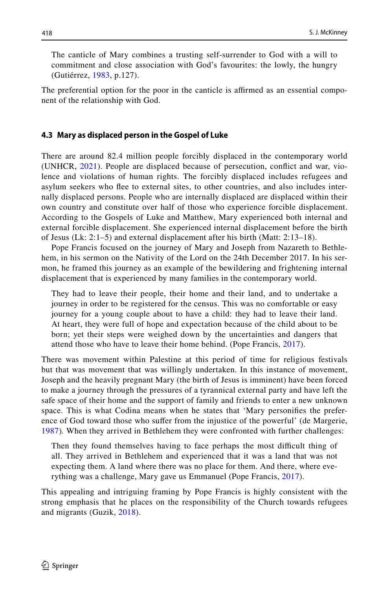The canticle of Mary combines a trusting self-surrender to God with a will to commitment and close association with God's favourites: the lowly, the hungry (Gutiérrez, [1983](#page-9-28), p.127).

The preferential option for the poor in the canticle is afrmed as an essential component of the relationship with God.

#### **4.3 Mary as displaced person in the Gospel of Luke**

There are around 82.4 million people forcibly displaced in the contemporary world (UNHCR, [2021](#page-10-25)). People are displaced because of persecution, confict and war, violence and violations of human rights. The forcibly displaced includes refugees and asylum seekers who fee to external sites, to other countries, and also includes internally displaced persons. People who are internally displaced are displaced within their own country and constitute over half of those who experience forcible displacement. According to the Gospels of Luke and Matthew, Mary experienced both internal and external forcible displacement. She experienced internal displacement before the birth of Jesus (Lk: 2:1–5) and external displacement after his birth (Matt: 2:13–18).

Pope Francis focused on the journey of Mary and Joseph from Nazareth to Bethlehem, in his sermon on the Nativity of the Lord on the 24th December 2017. In his sermon, he framed this journey as an example of the bewildering and frightening internal displacement that is experienced by many families in the contemporary world.

They had to leave their people, their home and their land, and to undertake a journey in order to be registered for the census. This was no comfortable or easy journey for a young couple about to have a child: they had to leave their land. At heart, they were full of hope and expectation because of the child about to be born; yet their steps were weighed down by the uncertainties and dangers that attend those who have to leave their home behind. (Pope Francis, [2017\)](#page-10-26).

There was movement within Palestine at this period of time for religious festivals but that was movement that was willingly undertaken. In this instance of movement, Joseph and the heavily pregnant Mary (the birth of Jesus is imminent) have been forced to make a journey through the pressures of a tyrannical external party and have left the safe space of their home and the support of family and friends to enter a new unknown space. This is what Codina means when he states that 'Mary personifes the preference of God toward those who sufer from the injustice of the powerful' (de Margerie, [1987\)](#page-9-0)*.* When they arrived in Bethlehem they were confronted with further challenges:

Then they found themselves having to face perhaps the most difficult thing of all. They arrived in Bethlehem and experienced that it was a land that was not expecting them. A land where there was no place for them. And there, where everything was a challenge, Mary gave us Emmanuel (Pope Francis, [2017](#page-10-26)).

This appealing and intriguing framing by Pope Francis is highly consistent with the strong emphasis that he places on the responsibility of the Church towards refugees and migrants (Guzik, [2018](#page-9-29)).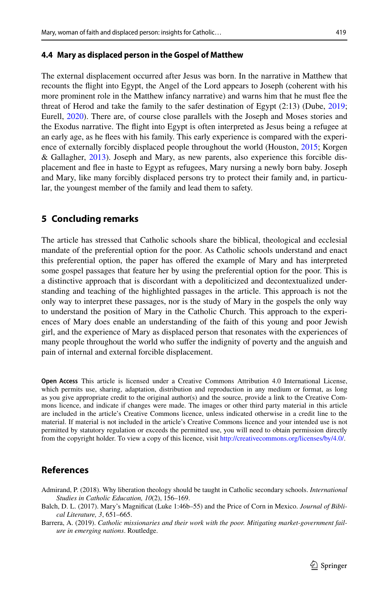#### **4.4 Mary as displaced person in the Gospel of Matthew**

The external displacement occurred after Jesus was born. In the narrative in Matthew that recounts the fight into Egypt, the Angel of the Lord appears to Joseph (coherent with his more prominent role in the Matthew infancy narrative) and warns him that he must fee the threat of Herod and take the family to the safer destination of Egypt (2:13) (Dube, [2019;](#page-9-30) Eurell, [2020](#page-9-31)). There are, of course close parallels with the Joseph and Moses stories and the Exodus narrative. The fight into Egypt is often interpreted as Jesus being a refugee at an early age, as he fees with his family. This early experience is compared with the experience of externally forcibly displaced people throughout the world (Houston, [2015](#page-9-32); Korgen & Gallagher, [2013\)](#page-9-33). Joseph and Mary, as new parents, also experience this forcible displacement and fee in haste to Egypt as refugees, Mary nursing a newly born baby. Joseph and Mary, like many forcibly displaced persons try to protect their family and, in particular, the youngest member of the family and lead them to safety.

## **5 Concluding remarks**

The article has stressed that Catholic schools share the biblical, theological and ecclesial mandate of the preferential option for the poor. As Catholic schools understand and enact this preferential option, the paper has ofered the example of Mary and has interpreted some gospel passages that feature her by using the preferential option for the poor. This is a distinctive approach that is discordant with a depoliticized and decontextualized understanding and teaching of the highlighted passages in the article. This approach is not the only way to interpret these passages, nor is the study of Mary in the gospels the only way to understand the position of Mary in the Catholic Church. This approach to the experiences of Mary does enable an understanding of the faith of this young and poor Jewish girl, and the experience of Mary as displaced person that resonates with the experiences of many people throughout the world who sufer the indignity of poverty and the anguish and pain of internal and external forcible displacement.

**Open Access** This article is licensed under a Creative Commons Attribution 4.0 International License, which permits use, sharing, adaptation, distribution and reproduction in any medium or format, as long as you give appropriate credit to the original author(s) and the source, provide a link to the Creative Commons licence, and indicate if changes were made. The images or other third party material in this article are included in the article's Creative Commons licence, unless indicated otherwise in a credit line to the material. If material is not included in the article's Creative Commons licence and your intended use is not permitted by statutory regulation or exceeds the permitted use, you will need to obtain permission directly from the copyright holder. To view a copy of this licence, visit [http://creativecommons.org/licenses/by/4.0/.](http://creativecommons.org/licenses/by/4.0/)

# **References**

- <span id="page-8-1"></span>Admirand, P. (2018). Why liberation theology should be taught in Catholic secondary schools. *International Studies in Catholic Education, 10*(2), 156–169.
- <span id="page-8-2"></span>Balch, D. L. (2017). Mary's Magnifcat (Luke 1:46b–55) and the Price of Corn in Mexico. *Journal of Biblical Literature, 3*, 651–665.
- <span id="page-8-0"></span>Barrera, A. (2019). *Catholic missionaries and their work with the poor. Mitigating market-government failure in emerging nations*. Routledge.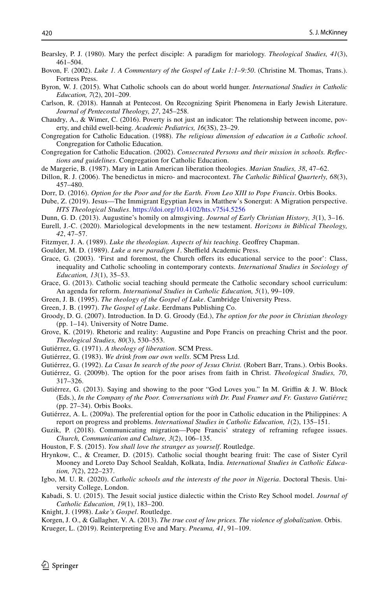- <span id="page-9-20"></span>Bearsley, P. J. (1980). Mary the perfect disciple: A paradigm for mariology. *Theological Studies, 41*(3), 461–504.
- <span id="page-9-22"></span>Bovon, F. (2002). *Luke 1. A Commentary of the Gospel of Luke 1:1–9:50*. (Christine M. Thomas, Trans.). Fortress Press.
- <span id="page-9-18"></span>Byron, W. J. (2015). What Catholic schools can do about world hunger. *International Studies in Catholic Education, 7*(2), 201–209.
- <span id="page-9-26"></span>Carlson, R. (2018). Hannah at Pentecost. On Recognizing Spirit Phenomena in Early Jewish Literature. *Journal of Pentecostal Theology, 27*, 245–258.
- <span id="page-9-19"></span>Chaudry, A., & Wimer, C. (2016). Poverty is not just an indicator: The relationship between income, poverty, and child ewell-being. *Academic Pediatrics, 16*(3S), 23–29.
- <span id="page-9-10"></span>Congregation for Catholic Education. (1988). *The religious dimension of education in a Catholic school*. Congregation for Catholic Education.
- <span id="page-9-11"></span>Congregation for Catholic Education. (2002). *Consecrated Persons and their mission in schools. Refections and guidelines*. Congregation for Catholic Education.
- <span id="page-9-0"></span>de Margerie, B. (1987). Mary in Latin American liberation theologies. *Marian Studies, 38*, 47–62.
- <span id="page-9-25"></span>Dillon, R. J. (2006). The benedictus in micro- and macrocontext. *The Catholic Biblical Quarterly, 68*(3), 457–480.
- <span id="page-9-9"></span>Dorr, D. (2016). *Option for the Poor and for the Earth. From Leo XIII to Pope Francis*. Orbis Books.
- <span id="page-9-30"></span>Dube, Z. (2019). Jesus—The Immigrant Egyptian Jews in Matthew's Sonergut: A Migration perspective. *HTS Theological Studies*.<https://doi.org/10.4102/hts.v75i4.5256>
- <span id="page-9-3"></span>Dunn, G. D. (2013). Augustine's homily on almsgiving. *Journal of Early Christian History, 3*(1), 3–16.
- <span id="page-9-31"></span>Eurell, J.-C. (2020). Mariological developments in the new testament. *Horizons in Biblical Theology, 42*, 47–57.
- <span id="page-9-21"></span>Fitzmyer, J. A. (1989). *Luke the theologian. Aspects of his teaching*. Geofrey Chapman.
- <span id="page-9-8"></span>Goulder, M. D. (1989). *Luke a new paradigm 1*. Sheffield Academic Press.
- <span id="page-9-16"></span>Grace, G. (2003). 'First and foremost, the Church ofers its educational service to the poor': Class, inequality and Catholic schooling in contemporary contexts. *International Studies in Sociology of Education, 13*(1), 35–53.
- <span id="page-9-17"></span>Grace, G. (2013). Catholic social teaching should permeate the Catholic secondary school curriculum: An agenda for reform. *International Studies in Catholic Education, 5*(1), 99–109.
- <span id="page-9-6"></span>Green, J. B. (1995). *The theology of the Gospel of Luke*. Cambridge University Press.
- <span id="page-9-24"></span>Green, J. B. (1997). *The Gospel of Luke*. Eerdmans Publishing Co.
- <span id="page-9-2"></span>Groody, D. G. (2007). Introduction. In D. G. Groody (Ed.), *The option for the poor in Christian theology* (pp. 1–14). University of Notre Dame.
- <span id="page-9-4"></span>Grove, K. (2019). Rhetoric and reality: Augustine and Pope Francis on preaching Christ and the poor. *Theological Studies, 80*(3), 530–553.
- <span id="page-9-12"></span>Gutiérrez, G. (1971). *A theology of liberation*. SCM Press.
- <span id="page-9-28"></span>Gutiérrez, G. (1983). *We drink from our own wells*. SCM Press Ltd.
- <span id="page-9-5"></span>Gutiérrez, G. (1992). *La Casas In search of the poor of Jesus Christ.* (Robert Barr, Trans.). Orbis Books.
- Gutiérrez, G. (2009b). The option for the poor arises from faith in Christ. *Theological Studies, 70*, 317–326.
- <span id="page-9-7"></span>Gutiérrez, G. (2013). Saying and showing to the poor "God Loves you." In M. Griffin & J. W. Block (Eds.), *In the Company of the Poor. Conversations with Dr. Paul Framer and Fr. Gustavo Gutiérrez* (pp. 27–34). Orbis Books.
- <span id="page-9-1"></span>Gutiérrez, A. L. (2009a). The preferential option for the poor in Catholic education in the Philippines: A report on progress and problems. *International Studies in Catholic Education, 1*(2), 135–151.
- <span id="page-9-29"></span>Guzik, P. (2018). Communicating migration—Pope Francis' strategy of reframing refugee issues. *Church, Communication and Culture, 3*(2), 106–135.
- <span id="page-9-32"></span>Houston, F. S. (2015). *You shall love the stranger as yourself*. Routledge.
- <span id="page-9-13"></span>Hrynkow, C., & Creamer, D. (2015). Catholic social thought bearing fruit: The case of Sister Cyril Mooney and Loreto Day School Sealdah, Kolkata, India. *International Studies in Catholic Education, 7*(2), 222–237.
- <span id="page-9-15"></span>Igbo, M. U. R. (2020). *Catholic schools and the interests of the poor in Nigeria*. Doctoral Thesis. University College, London.
- <span id="page-9-14"></span>Kabadi, S. U. (2015). The Jesuit social justice dialectic within the Cristo Rey School model. *Journal of Catholic Education, 19*(1), 183–200.
- <span id="page-9-27"></span>Knight, J. (1998). *Luke's Gospel*. Routledge.

<span id="page-9-33"></span><span id="page-9-23"></span>Korgen, J. O., & Gallagher, V. A. (2013). *The true cost of low prices. The violence of globalization*. Orbis. Krueger, L. (2019). Reinterpreting Eve and Mary. *Pneuma, 41*, 91–109.